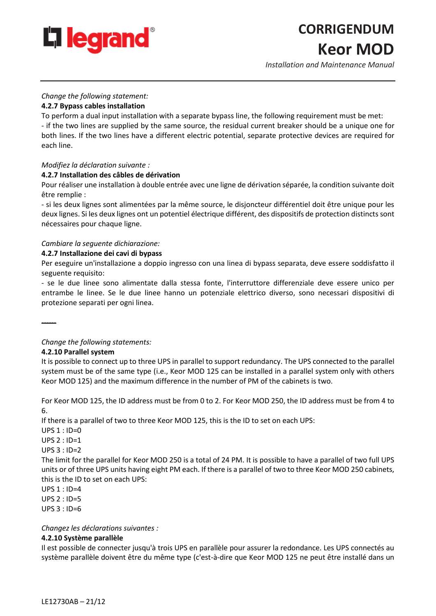

# **CORRIGENDUM Keor MOD**

*Installation and Maintenance Manual*

## *Change the following statement:*

# **4.2.7 Bypass cables installation**

To perform a dual input installation with a separate bypass line, the following requirement must be met: - if the two lines are supplied by the same source, the residual current breaker should be a unique one for both lines. If the two lines have a different electric potential, separate protective devices are required for each line.

# *Modifiez la déclaration suivante :*

## **4.2.7 Installation des câbles de dérivation**

Pour réaliser une installation à double entrée avec une ligne de dérivation séparée, la condition suivante doit être remplie :

- si les deux lignes sont alimentées par la même source, le disjoncteur différentiel doit être unique pour les deux lignes. Si les deux lignes ont un potentiel électrique différent, des dispositifs de protection distincts sont nécessaires pour chaque ligne.

# *Cambiare la seguente dichiarazione:*

## **4.2.7 Installazione dei cavi di bypass**

Per eseguire un'installazione a doppio ingresso con una linea di bypass separata, deve essere soddisfatto il seguente requisito:

- se le due linee sono alimentate dalla stessa fonte, l'interruttore differenziale deve essere unico per entrambe le linee. Se le due linee hanno un potenziale elettrico diverso, sono necessari dispositivi di protezione separati per ogni linea.

------

# *Change the following statements:*

## **4.2.10 Parallel system**

It is possible to connect up to three UPS in parallel to support redundancy. The UPS connected to the parallel system must be of the same type (i.e., Keor MOD 125 can be installed in a parallel system only with others Keor MOD 125) and the maximum difference in the number of PM of the cabinets is two.

For Keor MOD 125, the ID address must be from 0 to 2. For Keor MOD 250, the ID address must be from 4 to 6.

If there is a parallel of two to three Keor MOD 125, this is the ID to set on each UPS:

 $UPS 1 : ID=0$ 

 $UPS 2 : ID=1$ 

 $UPS 3 : ID=2$ 

The limit for the parallel for Keor MOD 250 is a total of 24 PM. It is possible to have a parallel of two full UPS units or of three UPS units having eight PM each. If there is a parallel of two to three Keor MOD 250 cabinets, this is the ID to set on each UPS:

UPS 1 : ID=4

UPS 2 : ID=5

UPS 3 : ID=6

*Changez les déclarations suivantes :*

# **4.2.10 Système parallèle**

Il est possible de connecter jusqu'à trois UPS en parallèle pour assurer la redondance. Les UPS connectés au système parallèle doivent être du même type (c'est-à-dire que Keor MOD 125 ne peut être installé dans un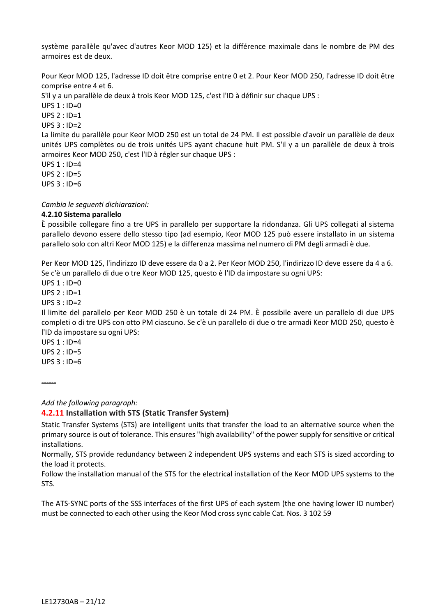système parallèle qu'avec d'autres Keor MOD 125) et la différence maximale dans le nombre de PM des armoires est de deux.

Pour Keor MOD 125, l'adresse ID doit être comprise entre 0 et 2. Pour Keor MOD 250, l'adresse ID doit être comprise entre 4 et 6.

S'il y a un parallèle de deux à trois Keor MOD 125, c'est l'ID à définir sur chaque UPS :

UPS 1 : ID=0

UPS 2 : ID=1

 $UPS$  3 :  $ID=2$ 

La limite du parallèle pour Keor MOD 250 est un total de 24 PM. Il est possible d'avoir un parallèle de deux unités UPS complètes ou de trois unités UPS ayant chacune huit PM. S'il y a un parallèle de deux à trois armoires Keor MOD 250, c'est l'ID à régler sur chaque UPS :

UPS 1 : ID=4

 $UPS 2 : ID=5$ 

UPS 3 : ID=6

*Cambia le seguenti dichiarazioni:*

## **4.2.10 Sistema parallelo**

È possibile collegare fino a tre UPS in parallelo per supportare la ridondanza. Gli UPS collegati al sistema parallelo devono essere dello stesso tipo (ad esempio, Keor MOD 125 può essere installato in un sistema parallelo solo con altri Keor MOD 125) e la differenza massima nel numero di PM degli armadi è due.

Per Keor MOD 125, l'indirizzo ID deve essere da 0 a 2. Per Keor MOD 250, l'indirizzo ID deve essere da 4 a 6. Se c'è un parallelo di due o tre Keor MOD 125, questo è l'ID da impostare su ogni UPS:

UPS 1 : ID=0

UPS 2 : ID=1

UPS 3 : ID=2

Il limite del parallelo per Keor MOD 250 è un totale di 24 PM. È possibile avere un parallelo di due UPS completi o di tre UPS con otto PM ciascuno. Se c'è un parallelo di due o tre armadi Keor MOD 250, questo è l'ID da impostare su ogni UPS:

UPS 1 : ID=4  $UPS 2 : ID=5$  $UPS$  3 : ID=6

------

*Add the following paragraph:*

**4.2.11 Installation with STS (Static Transfer System)**

Static Transfer Systems (STS) are intelligent units that transfer the load to an alternative source when the primary source is out of tolerance. This ensures "high availability" of the power supply for sensitive or critical installations.

Normally, STS provide redundancy between 2 independent UPS systems and each STS is sized according to the load it protects.

Follow the installation manual of the STS for the electrical installation of the Keor MOD UPS systems to the STS.

The ATS-SYNC ports of the SSS interfaces of the first UPS of each system (the one having lower ID number) must be connected to each other using the Keor Mod cross sync cable Cat. Nos. 3 102 59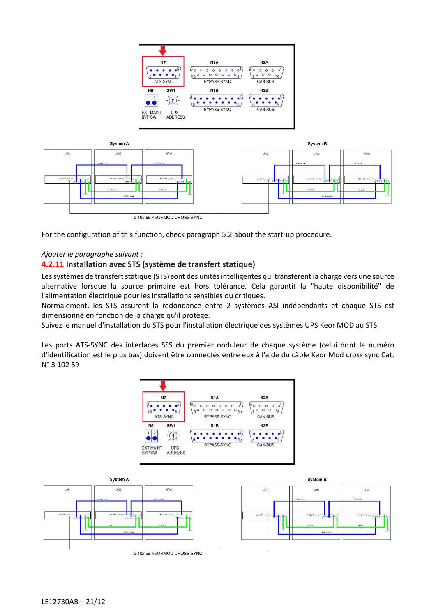

For the configuration of this function, check paragraph 5.2 about the start-up procedure.

# *Ajouter le paragraphe suivant :*

# **4.2.11 Installation avec STS (système de transfert statique)**

Les systèmes de transfert statique (STS) sont des unités intelligentes qui transfèrent la charge vers une source alternative lorsque la source primaire est hors tolérance. Cela garantit la "haute disponibilité" de l'alimentation électrique pour les installations sensibles ou critiques.

Normalement, les STS assurent la redondance entre 2 systèmes ASI indépendants et chaque STS est dimensionné en fonction de la charge qu'il protège.

Suivez le manuel d'installation du STS pour l'installation électrique des systèmes UPS Keor MOD au STS.

Les ports ATS-SYNC des interfaces SSS du premier onduleur de chaque système (celui dont le numéro d'identification est le plus bas) doivent être connectés entre eux à l'aide du câble Keor Mod cross sync Cat. N° 3 102 59

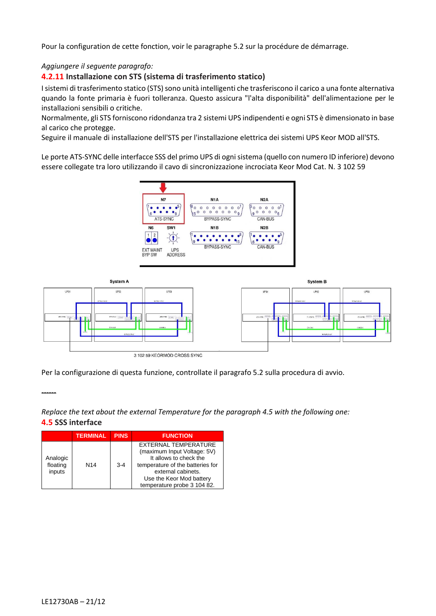Pour la configuration de cette fonction, voir le paragraphe 5.2 sur la procédure de démarrage.

# *Aggiungere il seguente paragrafo:*

# **4.2.11 Installazione con STS (sistema di trasferimento statico)**

I sistemi di trasferimento statico (STS) sono unità intelligenti che trasferiscono il carico a una fonte alternativa quando la fonte primaria è fuori tolleranza. Questo assicura "l'alta disponibilità" dell'alimentazione per le installazioni sensibili o critiche.

Normalmente, gli STS forniscono ridondanza tra 2 sistemi UPS indipendenti e ogni STS è dimensionato in base al carico che protegge.

Seguire il manuale di installazione dell'STS per l'installazione elettrica dei sistemi UPS Keor MOD all'STS.

Le porte ATS-SYNC delle interfacce SSS del primo UPS di ogni sistema (quello con numero ID inferiore) devono essere collegate tra loro utilizzando il cavo di sincronizzazione incrociata Keor Mod Cat. N. 3 102 59





Per la configurazione di questa funzione, controllate il paragrafo 5.2 sulla procedura di avvio.

*Replace the text about the external Temperature for the paragraph 4.5 with the following one:* **4.5 SSS interface**

|                                | <b>TERMINAL</b> | <b>PINS</b> | <b>FUNCTION</b>                                                                                                                                                                                           |
|--------------------------------|-----------------|-------------|-----------------------------------------------------------------------------------------------------------------------------------------------------------------------------------------------------------|
| Analogic<br>floating<br>inputs | N <sub>14</sub> | $3 - 4$     | <b>EXTERNAL TEMPERATURE</b><br>(maximum Input Voltage: 5V)<br>It allows to check the<br>temperature of the batteries for<br>external cabinets.<br>Use the Keor Mod battery<br>temperature probe 3 104 82. |

------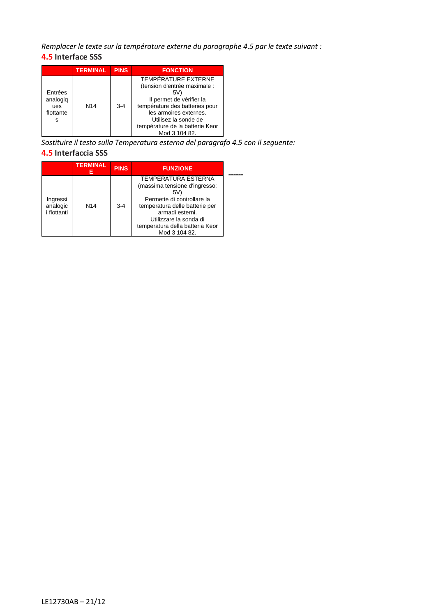*Remplacer le texte sur la température externe du paragraphe 4.5 par le texte suivant :*

# **4.5 Interface SSS**

|                                              | <b>TERMINAL</b> | <b>PINS</b> | <b>FONCTION</b>                                                                                                                                                                                                                       |
|----------------------------------------------|-----------------|-------------|---------------------------------------------------------------------------------------------------------------------------------------------------------------------------------------------------------------------------------------|
| Entrées<br>analogiq<br>ues<br>flottante<br>s | N <sub>14</sub> | $3 - 4$     | <b>TEMPÉRATURE EXTERNE</b><br>(tension d'entrée maximale :<br>5V)<br>Il permet de vérifier la<br>température des batteries pour<br>les armoires externes.<br>Utilisez la sonde de<br>température de la batterie Keor<br>Mod 3 104 82. |

*Sostituire il testo sulla Temperatura esterna del paragrafo 4.5 con il seguente:* **4.5 Interfaccia SSS**

|                                     | <b>TERMINAL</b><br>Е | <b>PINS</b> | <b>FUNZIONE</b>                                                                                                                                                                                                                     |
|-------------------------------------|----------------------|-------------|-------------------------------------------------------------------------------------------------------------------------------------------------------------------------------------------------------------------------------------|
| Ingressi<br>analogic<br>i flottanti | N <sub>14</sub>      | $3 - 4$     | <b>TEMPERATURA ESTERNA</b><br>(massima tensione d'ingresso:<br>5V)<br>Permette di controllare la<br>temperatura delle batterie per<br>armadi esterni.<br>Utilizzare la sonda di<br>temperatura della batteria Keor<br>Mod 3 104 82. |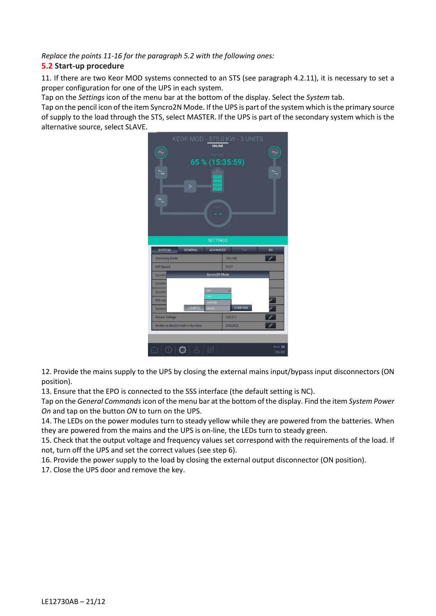*Replace the points 11-16 for the paragraph 5.2 with the following ones:*

# **5.2 Start-up procedure**

11. If there are two Keor MOD systems connected to an STS (see paragraph 4.2.11), it is necessary to set a proper configuration for one of the UPS in each system.

Tap on the *Settings* icon of the menu bar at the bottom of the display. Select the *System* tab.

Tap on the pencil icon of the item Syncro2N Mode. If the UPS is part of the system which is the primary source of supply to the load through the STS, select MASTER. If the UPS is part of the secondary system which is the alternative source, select SLAVE.



12. Provide the mains supply to the UPS by closing the external mains input/bypass input disconnectors (ON position).

13. Ensure that the EPO is connected to the SSS interface (the default setting is NC).

Tap on the *General Commands* icon of the menu bar at the bottom of the display. Find the item *System Power On* and tap on the button *ON* to turn on the UPS.

14. The LEDs on the power modules turn to steady yellow while they are powered from the batteries. When they are powered from the mains and the UPS is on-line, the LEDs turn to steady green.

15. Check that the output voltage and frequency values set correspond with the requirements of the load. If not, turn off the UPS and set the correct values (see step 6).

16. Provide the power supply to the load by closing the external output disconnector (ON position).

17. Close the UPS door and remove the key.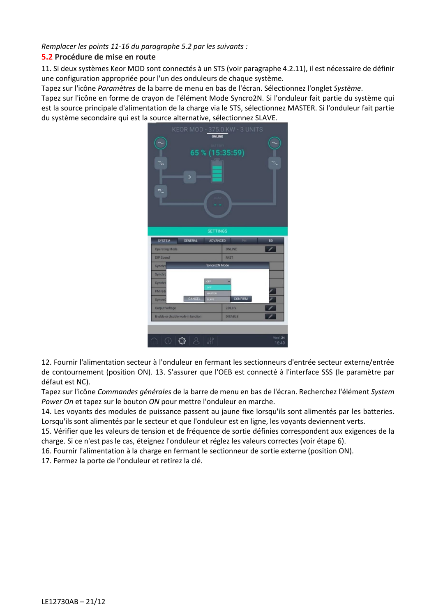*Remplacer les points 11-16 du paragraphe 5.2 par les suivants :*

# **5.2 Procédure de mise en route**

11. Si deux systèmes Keor MOD sont connectés à un STS (voir paragraphe 4.2.11), il est nécessaire de définir une configuration appropriée pour l'un des onduleurs de chaque système.

Tapez sur l'icône *Paramètres* de la barre de menu en bas de l'écran. Sélectionnez l'onglet *Système*.

Tapez sur l'icône en forme de crayon de l'élément Mode Syncro2N. Si l'onduleur fait partie du système qui est la source principale d'alimentation de la charge via le STS, sélectionnez MASTER. Si l'onduleur fait partie du système secondaire qui est la source alternative, sélectionnez SLAVE.



12. Fournir l'alimentation secteur à l'onduleur en fermant les sectionneurs d'entrée secteur externe/entrée de contournement (position ON). 13. S'assurer que l'OEB est connecté à l'interface SSS (le paramètre par défaut est NC).

Tapez sur l'icône *Commandes générales* de la barre de menu en bas de l'écran. Recherchez l'élément *System Power On* et tapez sur le bouton *ON* pour mettre l'onduleur en marche.

14. Les voyants des modules de puissance passent au jaune fixe lorsqu'ils sont alimentés par les batteries. Lorsqu'ils sont alimentés par le secteur et que l'onduleur est en ligne, les voyants deviennent verts.

15. Vérifier que les valeurs de tension et de fréquence de sortie définies correspondent aux exigences de la charge. Si ce n'est pas le cas, éteignez l'onduleur et réglez les valeurs correctes (voir étape 6).

16. Fournir l'alimentation à la charge en fermant le sectionneur de sortie externe (position ON).

17. Fermez la porte de l'onduleur et retirez la clé.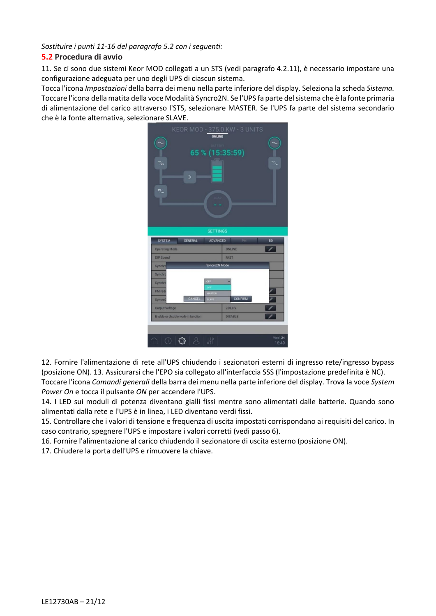*Sostituire i punti 11-16 del paragrafo 5.2 con i seguenti:*

# **5.2 Procedura di avvio**

11. Se ci sono due sistemi Keor MOD collegati a un STS (vedi paragrafo 4.2.11), è necessario impostare una configurazione adeguata per uno degli UPS di ciascun sistema.

Tocca l'icona *Impostazioni* della barra dei menu nella parte inferiore del display. Seleziona la scheda *Sistema.* Toccare l'icona della matita della voce Modalità Syncro2N. Se l'UPS fa parte del sistema che è la fonte primaria di alimentazione del carico attraverso l'STS, selezionare MASTER. Se l'UPS fa parte del sistema secondario che è la fonte alternativa, selezionare SLAVE.



12. Fornire l'alimentazione di rete all'UPS chiudendo i sezionatori esterni di ingresso rete/ingresso bypass (posizione ON). 13. Assicurarsi che l'EPO sia collegato all'interfaccia SSS (l'impostazione predefinita è NC). Toccare l'icona *Comandi generali* della barra dei menu nella parte inferiore del display. Trova la voce *System Power On* e tocca il pulsante *ON* per accendere l'UPS.

14. I LED sui moduli di potenza diventano gialli fissi mentre sono alimentati dalle batterie. Quando sono alimentati dalla rete e l'UPS è in linea, i LED diventano verdi fissi.

15. Controllare che i valori di tensione e frequenza di uscita impostati corrispondano ai requisiti del carico. In caso contrario, spegnere l'UPS e impostare i valori corretti (vedi passo 6).

16. Fornire l'alimentazione al carico chiudendo il sezionatore di uscita esterno (posizione ON).

17. Chiudere la porta dell'UPS e rimuovere la chiave.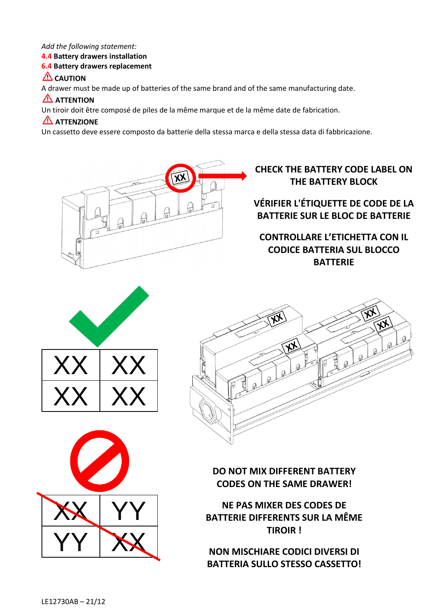## *Add the following statement:*

# **4.4 Battery drawers installation**

# **6.4 Battery drawers replacement**

# **LAUTION**

A drawer must be made up of batteries of the same brand and of the same manufacturing date.

# **ATTENTION**

Un tiroir doit être composé de piles de la même marque et de la même date de fabrication.

# **ATTENZIONE**

Un cassetto deve essere composto da batterie della stessa marca e della stessa data di fabbricazione.



# **CHECK THE BATTERY CODE LABEL ON THE BATTERY BLOCK**

# **VÉRIFIER L'ÉTIQUETTE DE CODE DE LA BATTERIE SUR LE BLOC DE BATTERIE**

# **CONTROLLARE L'ETICHETTA CON IL CODICE BATTERIA SUL BLOCCO BATTERIE**







**DO NOT MIX DIFFERENT BATTERY CODES ON THE SAME DRAWER!**

**NE PAS MIXER DES CODES DE BATTERIE DIFFERENTS SUR LA MÊME TIROIR !**

**NON MISCHIARE CODICI DIVERSI DI BATTERIA SULLO STESSO CASSETTO!**